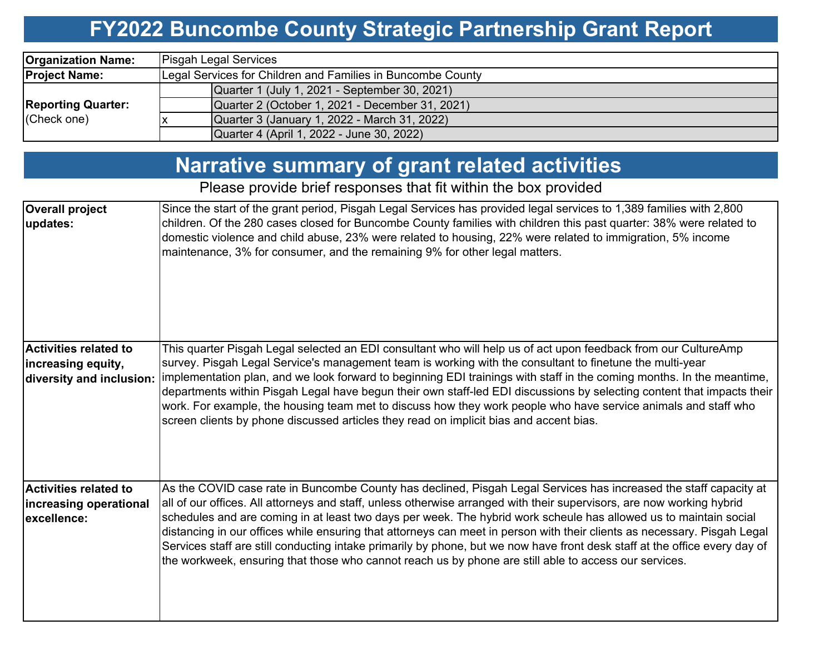## **FY2022 Buncombe County Strategic Partnership Grant Report**

| <b>Organization Name:</b>                | <b>Pisgah Legal Services</b>                                |  |  |  |  |  |  |  |
|------------------------------------------|-------------------------------------------------------------|--|--|--|--|--|--|--|
| <b>Project Name:</b>                     | Legal Services for Children and Families in Buncombe County |  |  |  |  |  |  |  |
| <b>Reporting Quarter:</b><br>(Check one) | Quarter 1 (July 1, 2021 - September 30, 2021)               |  |  |  |  |  |  |  |
|                                          | Quarter 2 (October 1, 2021 - December 31, 2021)             |  |  |  |  |  |  |  |
|                                          | Quarter 3 (January 1, 2022 - March 31, 2022)                |  |  |  |  |  |  |  |
|                                          | Quarter 4 (April 1, 2022 - June 30, 2022)                   |  |  |  |  |  |  |  |

## **Narrative summary of grant related activities**

### Please provide brief responses that fit within the box provided

| <b>Overall project</b><br>updates:                                             | Since the start of the grant period, Pisgah Legal Services has provided legal services to 1,389 families with 2,800<br>children. Of the 280 cases closed for Buncombe County families with children this past quarter: 38% were related to<br>domestic violence and child abuse, 23% were related to housing, 22% were related to immigration, 5% income<br>maintenance, 3% for consumer, and the remaining 9% for other legal matters.                                                                                                                                                                                                                                                                                            |
|--------------------------------------------------------------------------------|------------------------------------------------------------------------------------------------------------------------------------------------------------------------------------------------------------------------------------------------------------------------------------------------------------------------------------------------------------------------------------------------------------------------------------------------------------------------------------------------------------------------------------------------------------------------------------------------------------------------------------------------------------------------------------------------------------------------------------|
| <b>Activities related to</b><br>increasing equity,<br>diversity and inclusion: | This quarter Pisgah Legal selected an EDI consultant who will help us of act upon feedback from our CultureAmp<br>survey. Pisgah Legal Service's management team is working with the consultant to finetune the multi-year<br>implementation plan, and we look forward to beginning EDI trainings with staff in the coming months. In the meantime,<br>departments within Pisgah Legal have begun their own staff-led EDI discussions by selecting content that impacts their<br>work. For example, the housing team met to discuss how they work people who have service animals and staff who<br>screen clients by phone discussed articles they read on implicit bias and accent bias.                                          |
| <b>Activities related to</b><br>increasing operational<br>excellence:          | As the COVID case rate in Buncombe County has declined, Pisgah Legal Services has increased the staff capacity at<br>all of our offices. All attorneys and staff, unless otherwise arranged with their supervisors, are now working hybrid<br>schedules and are coming in at least two days per week. The hybrid work scheule has allowed us to maintain social<br>distancing in our offices while ensuring that attorneys can meet in person with their clients as necessary. Pisgah Legal<br>Services staff are still conducting intake primarily by phone, but we now have front desk staff at the office every day of<br>the workweek, ensuring that those who cannot reach us by phone are still able to access our services. |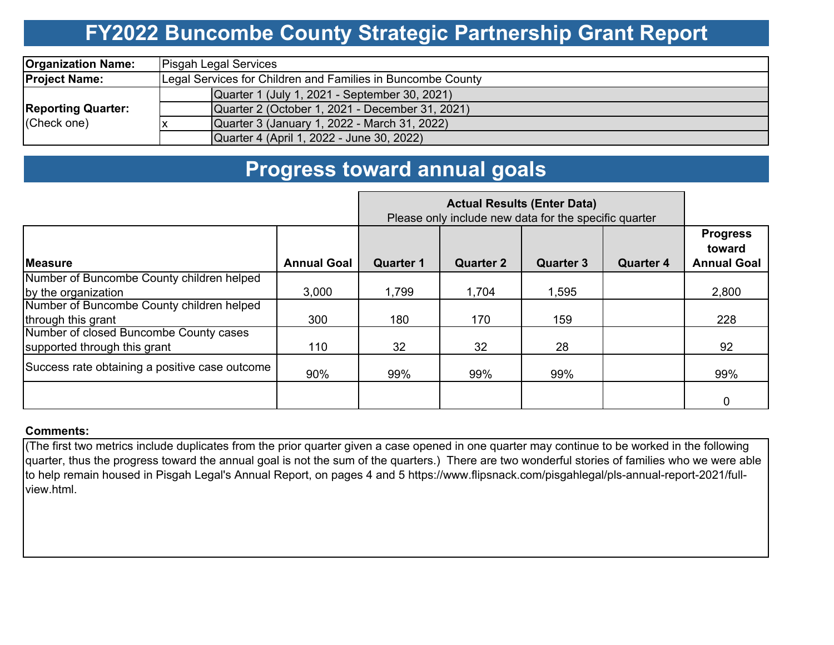## **FY2022 Buncombe County Strategic Partnership Grant Report**

| <b>Organization Name:</b>                | <b>Pisgah Legal Services</b>                                |  |  |  |  |  |  |  |
|------------------------------------------|-------------------------------------------------------------|--|--|--|--|--|--|--|
| <b>Project Name:</b>                     | Legal Services for Children and Families in Buncombe County |  |  |  |  |  |  |  |
|                                          | Quarter 1 (July 1, 2021 - September 30, 2021)               |  |  |  |  |  |  |  |
| <b>Reporting Quarter:</b><br>(Check one) | Quarter 2 (October 1, 2021 - December 31, 2021)             |  |  |  |  |  |  |  |
|                                          | Quarter 3 (January 1, 2022 - March 31, 2022)                |  |  |  |  |  |  |  |
|                                          | Quarter 4 (April 1, 2022 - June 30, 2022)                   |  |  |  |  |  |  |  |

## **Progress toward annual goals**

|                                                | Please only include new data for the specific quarter |                  |                  |                  |                  |                                                 |
|------------------------------------------------|-------------------------------------------------------|------------------|------------------|------------------|------------------|-------------------------------------------------|
| <b>Measure</b>                                 | <b>Annual Goal</b>                                    | <b>Quarter 1</b> | <b>Quarter 2</b> | <b>Quarter 3</b> | <b>Quarter 4</b> | <b>Progress</b><br>toward<br><b>Annual Goal</b> |
| Number of Buncombe County children helped      |                                                       |                  |                  |                  |                  |                                                 |
| by the organization                            | 3,000                                                 | 1,799            | 1,704            | 1,595            |                  | 2,800                                           |
| Number of Buncombe County children helped      |                                                       |                  |                  |                  |                  |                                                 |
| through this grant                             | 300                                                   | 180              | 170              | 159              |                  | 228                                             |
| Number of closed Buncombe County cases         |                                                       |                  |                  |                  |                  |                                                 |
| supported through this grant                   | 110                                                   | 32               | 32               | 28               |                  | 92                                              |
| Success rate obtaining a positive case outcome | 90%                                                   | 99%              | 99%              | 99%              |                  | 99%                                             |
|                                                |                                                       |                  |                  |                  |                  | 0                                               |

#### **Comments:**

(The first two metrics include duplicates from the prior quarter given a case opened in one quarter may continue to be worked in the following quarter, thus the progress toward the annual goal is not the sum of the quarters.) There are two wonderful stories of families who we were able to help remain housed in Pisgah Legal's Annual Report, on pages 4 and 5 https://www.flipsnack.com/pisgahlegal/pls-annual-report-2021/fullview.html.